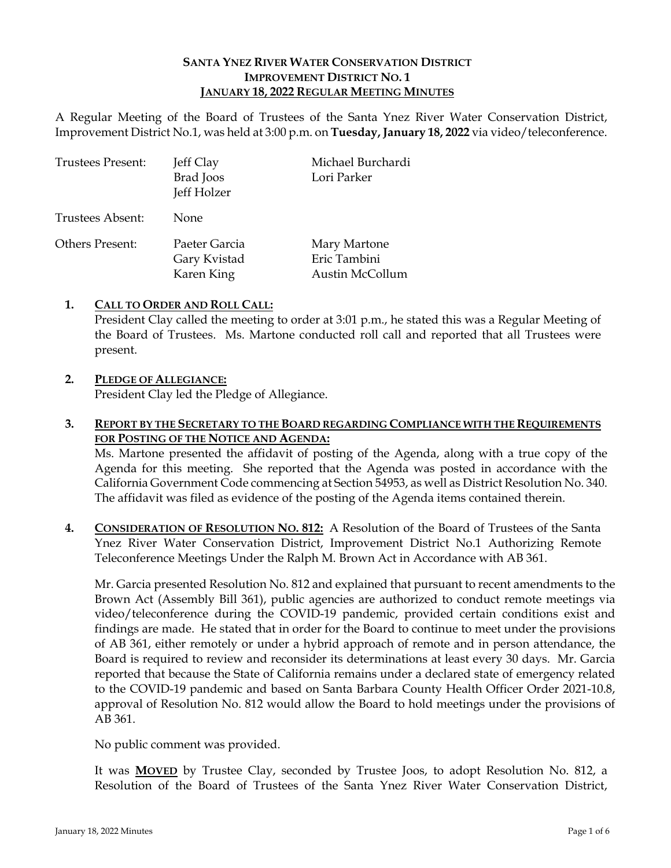### **SANTA YNEZ RIVER WATER CONSERVATION DISTRICT IMPROVEMENT DISTRICT NO. 1 JANUARY 18, 2022 REGULAR MEETING MINUTES**

A Regular Meeting of the Board of Trustees of the Santa Ynez River Water Conservation District, Improvement District No.1, was held at 3:00 p.m. on **Tuesday, January 18, 2022** via video/teleconference.

| <b>Trustees Present:</b> | Jeff Clay<br>Brad Joos<br>Jeff Holzer       | Michael Burchardi<br>Lori Parker                |
|--------------------------|---------------------------------------------|-------------------------------------------------|
| Trustees Absent:         | None                                        |                                                 |
| Others Present:          | Paeter Garcia<br>Gary Kvistad<br>Karen King | Mary Martone<br>Eric Tambini<br>Austin McCollum |

### **1. CALL TO ORDER AND ROLL CALL:**

President Clay called the meeting to order at 3:01 p.m., he stated this was a Regular Meeting of the Board of Trustees. Ms. Martone conducted roll call and reported that all Trustees were present.

### **2. PLEDGE OF ALLEGIANCE:**

President Clay led the Pledge of Allegiance.

### **3. REPORT BY THE SECRETARY TO THE BOARD REGARDING COMPLIANCE WITH THE REQUIREMENTS FOR POSTING OF THE NOTICE AND AGENDA:**

Ms. Martone presented the affidavit of posting of the Agenda, along with a true copy of the Agenda for this meeting. She reported that the Agenda was posted in accordance with the California Government Code commencing at Section 54953, as well as District Resolution No. 340. The affidavit was filed as evidence of the posting of the Agenda items contained therein.

**4. CONSIDERATION OF RESOLUTION NO. 812:** A Resolution of the Board of Trustees of the Santa Ynez River Water Conservation District, Improvement District No.1 Authorizing Remote Teleconference Meetings Under the Ralph M. Brown Act in Accordance with AB 361.

Mr. Garcia presented Resolution No. 812 and explained that pursuant to recent amendments to the Brown Act (Assembly Bill 361), public agencies are authorized to conduct remote meetings via video/teleconference during the COVID-19 pandemic, provided certain conditions exist and findings are made. He stated that in order for the Board to continue to meet under the provisions of AB 361, either remotely or under a hybrid approach of remote and in person attendance, the Board is required to review and reconsider its determinations at least every 30 days. Mr. Garcia reported that because the State of California remains under a declared state of emergency related to the COVID-19 pandemic and based on Santa Barbara County Health Officer Order 2021-10.8, approval of Resolution No. 812 would allow the Board to hold meetings under the provisions of AB 361.

No public comment was provided.

It was **MOVED** by Trustee Clay, seconded by Trustee Joos, to adopt Resolution No. 812, a Resolution of the Board of Trustees of the Santa Ynez River Water Conservation District,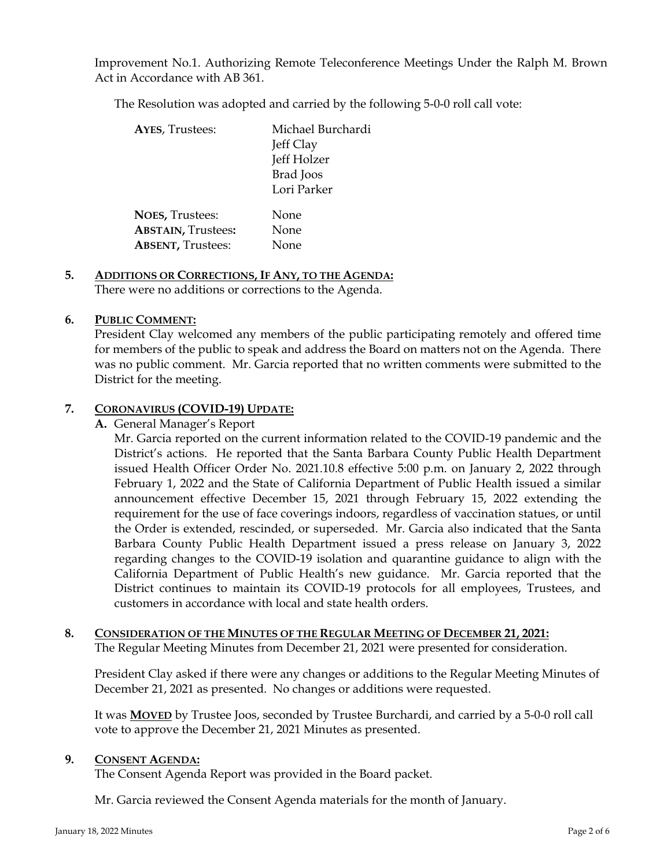Improvement No.1. Authorizing Remote Teleconference Meetings Under the Ralph M. Brown Act in Accordance with AB 361.

The Resolution was adopted and carried by the following 5-0-0 roll call vote:

| <b>AYES, Trustees:</b>    | Michael Burchardi<br>Jeff Clay<br>Jeff Holzer<br>Brad Joos |
|---------------------------|------------------------------------------------------------|
|                           | Lori Parker                                                |
| <b>NOES, Trustees:</b>    | None                                                       |
| <b>ABSTAIN, Trustees:</b> | None                                                       |
| <b>ABSENT, Trustees:</b>  | None                                                       |

# **5. ADDITIONS OR CORRECTIONS, IF ANY, TO THE AGENDA:**

There were no additions or corrections to the Agenda.

# **6. PUBLIC COMMENT:**

President Clay welcomed any members of the public participating remotely and offered time for members of the public to speak and address the Board on matters not on the Agenda. There was no public comment. Mr. Garcia reported that no written comments were submitted to the District for the meeting.

# **7. CORONAVIRUS (COVID-19) UPDATE:**

**A.** General Manager's Report

Mr. Garcia reported on the current information related to the COVID-19 pandemic and the District's actions. He reported that the Santa Barbara County Public Health Department issued Health Officer Order No. 2021.10.8 effective 5:00 p.m. on January 2, 2022 through February 1, 2022 and the State of California Department of Public Health issued a similar announcement effective December 15, 2021 through February 15, 2022 extending the requirement for the use of face coverings indoors, regardless of vaccination statues, or until the Order is extended, rescinded, or superseded. Mr. Garcia also indicated that the Santa Barbara County Public Health Department issued a press release on January 3, 2022 regarding changes to the COVID-19 isolation and quarantine guidance to align with the California Department of Public Health's new guidance. Mr. Garcia reported that the District continues to maintain its COVID-19 protocols for all employees, Trustees, and customers in accordance with local and state health orders.

# **8. CONSIDERATION OF THE MINUTES OF THE REGULAR MEETING OF DECEMBER 21, 2021:**

The Regular Meeting Minutes from December 21, 2021 were presented for consideration.

President Clay asked if there were any changes or additions to the Regular Meeting Minutes of December 21, 2021 as presented. No changes or additions were requested.

It was **MOVED** by Trustee Joos, seconded by Trustee Burchardi, and carried by a 5-0-0 roll call vote to approve the December 21, 2021 Minutes as presented.

# **9. CONSENT AGENDA:**

The Consent Agenda Report was provided in the Board packet.

Mr. Garcia reviewed the Consent Agenda materials for the month of January.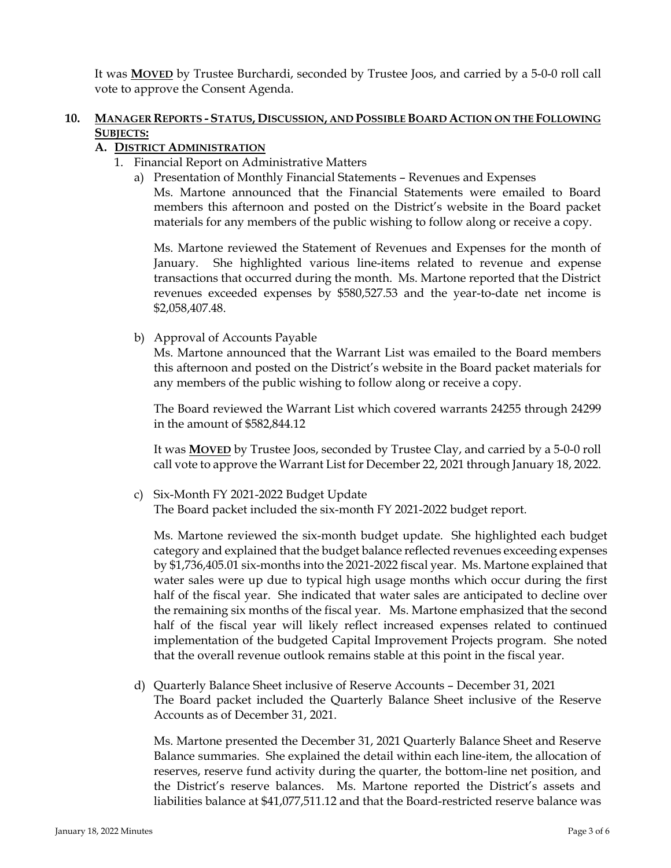It was **MOVED** by Trustee Burchardi, seconded by Trustee Joos, and carried by a 5-0-0 roll call vote to approve the Consent Agenda.

# **10. MANAGER REPORTS - STATUS, DISCUSSION, AND POSSIBLE BOARD ACTION ON THE FOLLOWING SUBJECTS:**

# **A. DISTRICT ADMINISTRATION**

- 1. Financial Report on Administrative Matters
	- a) Presentation of Monthly Financial Statements Revenues and Expenses

Ms. Martone announced that the Financial Statements were emailed to Board members this afternoon and posted on the District's website in the Board packet materials for any members of the public wishing to follow along or receive a copy.

Ms. Martone reviewed the Statement of Revenues and Expenses for the month of January. She highlighted various line-items related to revenue and expense transactions that occurred during the month. Ms. Martone reported that the District revenues exceeded expenses by \$580,527.53 and the year-to-date net income is \$2,058,407.48.

b) Approval of Accounts Payable

Ms. Martone announced that the Warrant List was emailed to the Board members this afternoon and posted on the District's website in the Board packet materials for any members of the public wishing to follow along or receive a copy.

The Board reviewed the Warrant List which covered warrants 24255 through 24299 in the amount of \$582,844.12

It was **MOVED** by Trustee Joos, seconded by Trustee Clay, and carried by a 5-0-0 roll call vote to approve the Warrant List for December 22, 2021 through January 18, 2022.

c) Six-Month FY 2021-2022 Budget Update The Board packet included the six-month FY 2021-2022 budget report.

Ms. Martone reviewed the six-month budget update. She highlighted each budget category and explained that the budget balance reflected revenues exceeding expenses by \$1,736,405.01 six-months into the 2021-2022 fiscal year. Ms. Martone explained that water sales were up due to typical high usage months which occur during the first half of the fiscal year. She indicated that water sales are anticipated to decline over the remaining six months of the fiscal year. Ms. Martone emphasized that the second half of the fiscal year will likely reflect increased expenses related to continued implementation of the budgeted Capital Improvement Projects program. She noted that the overall revenue outlook remains stable at this point in the fiscal year.

d) Quarterly Balance Sheet inclusive of Reserve Accounts – December 31, 2021 The Board packet included the Quarterly Balance Sheet inclusive of the Reserve Accounts as of December 31, 2021.

Ms. Martone presented the December 31, 2021 Quarterly Balance Sheet and Reserve Balance summaries. She explained the detail within each line-item, the allocation of reserves, reserve fund activity during the quarter, the bottom-line net position, and the District's reserve balances. Ms. Martone reported the District's assets and liabilities balance at \$41,077,511.12 and that the Board-restricted reserve balance was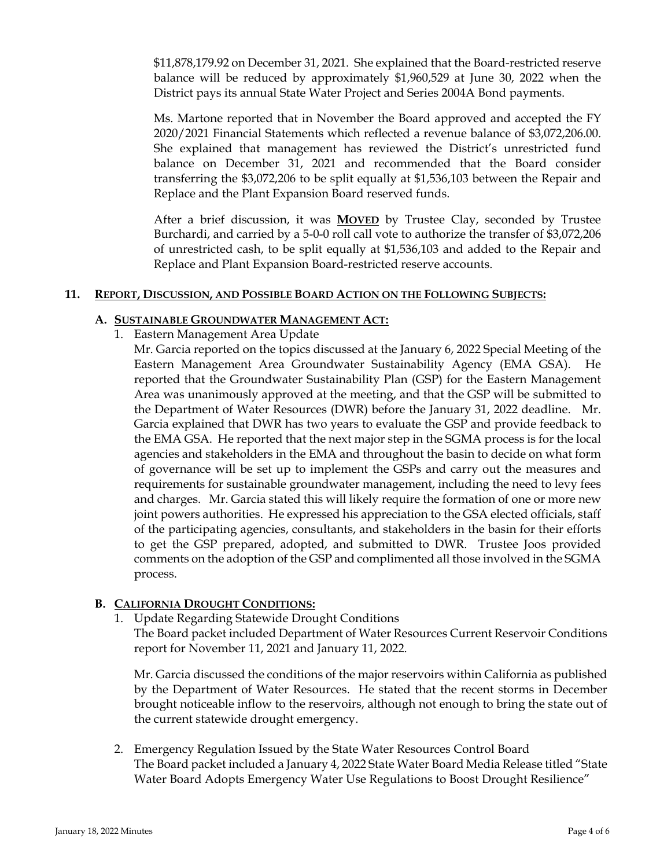\$11,878,179.92 on December 31, 2021. She explained that the Board-restricted reserve balance will be reduced by approximately \$1,960,529 at June 30, 2022 when the District pays its annual State Water Project and Series 2004A Bond payments.

Ms. Martone reported that in November the Board approved and accepted the FY 2020/2021 Financial Statements which reflected a revenue balance of \$3,072,206.00. She explained that management has reviewed the District's unrestricted fund balance on December 31, 2021 and recommended that the Board consider transferring the \$3,072,206 to be split equally at \$1,536,103 between the Repair and Replace and the Plant Expansion Board reserved funds.

After a brief discussion, it was **MOVED** by Trustee Clay, seconded by Trustee Burchardi, and carried by a 5-0-0 roll call vote to authorize the transfer of \$3,072,206 of unrestricted cash, to be split equally at \$1,536,103 and added to the Repair and Replace and Plant Expansion Board-restricted reserve accounts.

#### **11. REPORT, DISCUSSION, AND POSSIBLE BOARD ACTION ON THE FOLLOWING SUBJECTS:**

# **A. SUSTAINABLE GROUNDWATER MANAGEMENT ACT:**

1. Eastern Management Area Update

Mr. Garcia reported on the topics discussed at the January 6, 2022 Special Meeting of the Eastern Management Area Groundwater Sustainability Agency (EMA GSA). He reported that the Groundwater Sustainability Plan (GSP) for the Eastern Management Area was unanimously approved at the meeting, and that the GSP will be submitted to the Department of Water Resources (DWR) before the January 31, 2022 deadline. Mr. Garcia explained that DWR has two years to evaluate the GSP and provide feedback to the EMA GSA. He reported that the next major step in the SGMA process is for the local agencies and stakeholders in the EMA and throughout the basin to decide on what form of governance will be set up to implement the GSPs and carry out the measures and requirements for sustainable groundwater management, including the need to levy fees and charges. Mr. Garcia stated this will likely require the formation of one or more new joint powers authorities. He expressed his appreciation to the GSA elected officials, staff of the participating agencies, consultants, and stakeholders in the basin for their efforts to get the GSP prepared, adopted, and submitted to DWR. Trustee Joos provided comments on the adoption of the GSP and complimented all those involved in the SGMA process.

# **B. CALIFORNIA DROUGHT CONDITIONS:**

1. Update Regarding Statewide Drought Conditions

The Board packet included Department of Water Resources Current Reservoir Conditions report for November 11, 2021 and January 11, 2022.

Mr. Garcia discussed the conditions of the major reservoirs within California as published by the Department of Water Resources. He stated that the recent storms in December brought noticeable inflow to the reservoirs, although not enough to bring the state out of the current statewide drought emergency.

2. Emergency Regulation Issued by the State Water Resources Control Board The Board packet included a January 4, 2022 State Water Board Media Release titled "State Water Board Adopts Emergency Water Use Regulations to Boost Drought Resilience"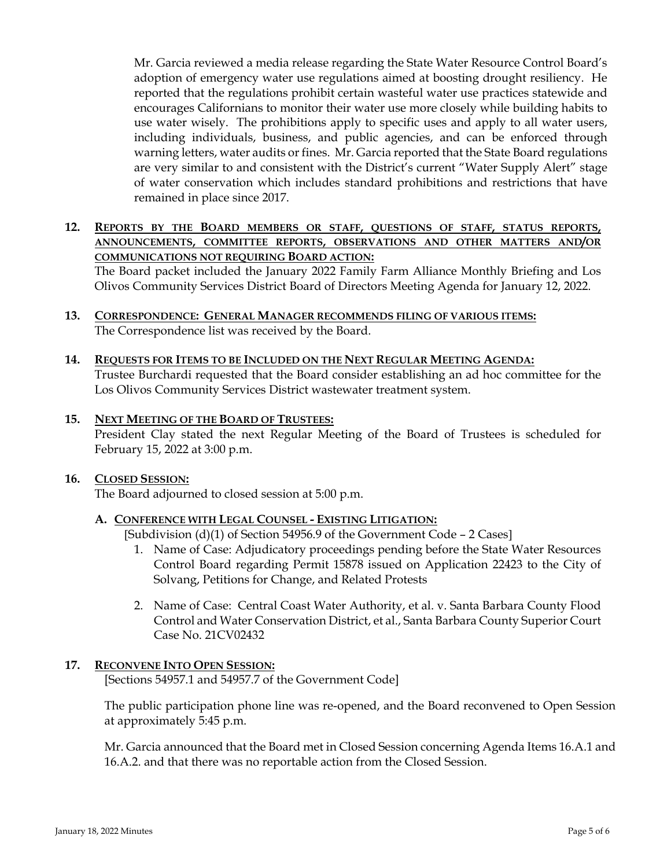Mr. Garcia reviewed a media release regarding the State Water Resource Control Board's adoption of emergency water use regulations aimed at boosting drought resiliency. He reported that the regulations prohibit certain wasteful water use practices statewide and encourages Californians to monitor their water use more closely while building habits to use water wisely. The prohibitions apply to specific uses and apply to all water users, including individuals, business, and public agencies, and can be enforced through warning letters, water audits or fines. Mr. Garcia reported that the State Board regulations are very similar to and consistent with the District's current "Water Supply Alert" stage of water conservation which includes standard prohibitions and restrictions that have remained in place since 2017.

# **12. REPORTS BY THE BOARD MEMBERS OR STAFF, QUESTIONS OF STAFF, STATUS REPORTS, ANNOUNCEMENTS, COMMITTEE REPORTS, OBSERVATIONS AND OTHER MATTERS AND/OR COMMUNICATIONS NOT REQUIRING BOARD ACTION:**

The Board packet included the January 2022 Family Farm Alliance Monthly Briefing and Los Olivos Community Services District Board of Directors Meeting Agenda for January 12, 2022.

- **13. CORRESPONDENCE: GENERAL MANAGER RECOMMENDS FILING OF VARIOUS ITEMS:**  The Correspondence list was received by the Board.
- **14. REQUESTS FOR ITEMS TO BE INCLUDED ON THE NEXT REGULAR MEETING AGENDA:** Trustee Burchardi requested that the Board consider establishing an ad hoc committee for the Los Olivos Community Services District wastewater treatment system.

### **15. NEXT MEETING OF THE BOARD OF TRUSTEES:**

President Clay stated the next Regular Meeting of the Board of Trustees is scheduled for February 15, 2022 at 3:00 p.m.

#### **16. CLOSED SESSION:**

The Board adjourned to closed session at 5:00 p.m.

#### **A. CONFERENCE WITH LEGAL COUNSEL - EXISTING LITIGATION:**

[Subdivision (d)(1) of Section 54956.9 of the Government Code - 2 Cases]

- 1. Name of Case: Adjudicatory proceedings pending before the State Water Resources Control Board regarding Permit 15878 issued on Application 22423 to the City of Solvang, Petitions for Change, and Related Protests
- 2. Name of Case: Central Coast Water Authority, et al. v. Santa Barbara County Flood Control and Water Conservation District, et al., Santa Barbara County Superior Court Case No. 21CV02432

#### **17. RECONVENE INTO OPEN SESSION:**

[Sections 54957.1 and 54957.7 of the Government Code]

The public participation phone line was re-opened, and the Board reconvened to Open Session at approximately 5:45 p.m.

Mr. Garcia announced that the Board met in Closed Session concerning Agenda Items 16.A.1 and 16.A.2. and that there was no reportable action from the Closed Session.